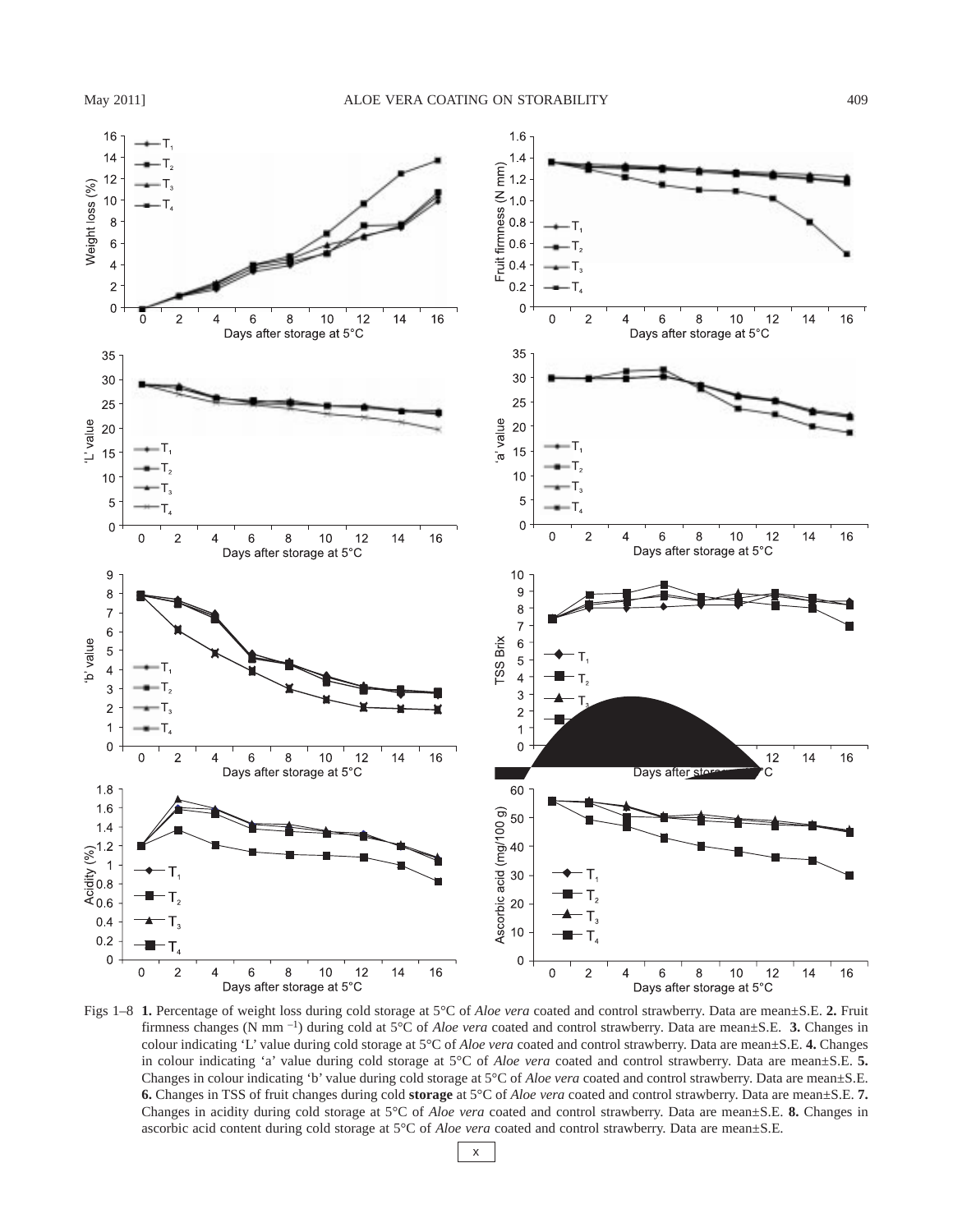

Figs 1–8 **1.** Percentage of weight loss during cold storage at 5°C of *Aloe vera* coated and control strawberry. Data are mean±S.E. **2.** Fruit firmness changes (N mm –1) during cold at 5°C of *Aloe vera* coated and control strawberry. Data are mean±S.E. **3.** Changes in colour indicating 'L' value during cold storage at 5°C of *Aloe vera* coated and control strawberry. Data are mean±S.E. **4.** Changes in colour indicating 'a' value during cold storage at 5°C of *Aloe vera* coated and control strawberry. Data are mean±S.E. 5. Changes in colour indicating 'b' value during cold storage at 5°C of *Aloe vera* coated and control strawberry. Data are mean±S.E. **6.** Changes in TSS of fruit changes during cold **storage** at 5°C of *Aloe vera* coated and control strawberry. Data are mean±S.E. **7.** Changes in acidity during cold storage at 5°C of *Aloe vera* coated and control strawberry. Data are mean±S.E. **8.** Changes in ascorbic acid content during cold storage at 5°C of *Aloe vera* coated and control strawberry. Data are mean±S.E.

x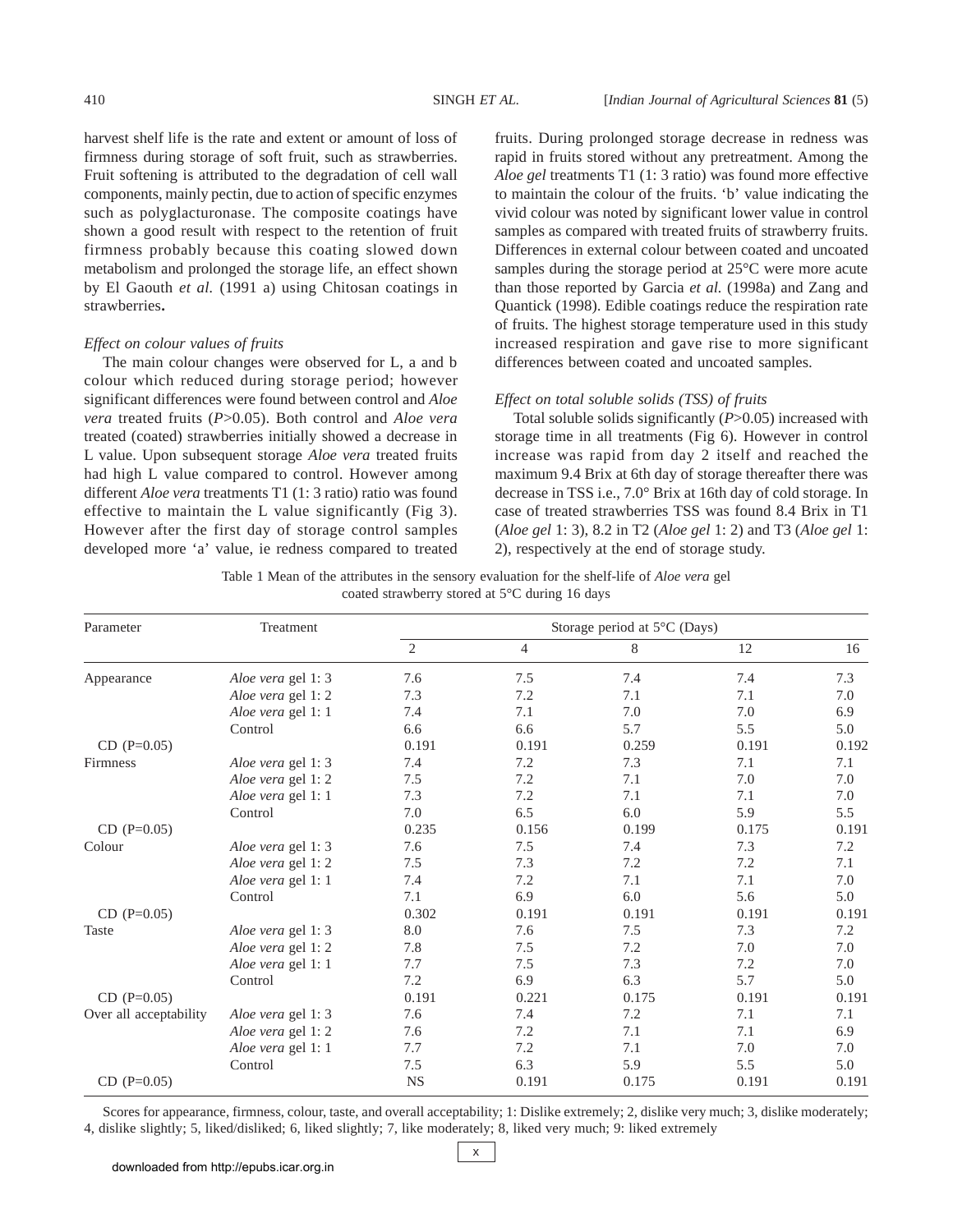harvest shelf life is the rate and extent or amount of loss of firmness during storage of soft fruit, such as strawberries. Fruit softening is attributed to the degradation of cell wall components, mainly pectin, due to action of specific enzymes such as polyglacturonase. The composite coatings have shown a good result with respect to the retention of fruit firmness probably because this coating slowed down metabolism and prolonged the storage life, an effect shown by El Gaouth *et al.* (1991 a) using Chitosan coatings in strawberries**.**

# *Effect on colour values of fruits*

The main colour changes were observed for L, a and b colour which reduced during storage period; however significant differences were found between control and *Aloe vera* treated fruits (*P*>0.05). Both control and *Aloe vera* treated (coated) strawberries initially showed a decrease in L value. Upon subsequent storage *Aloe vera* treated fruits had high L value compared to control. However among different *Aloe vera* treatments T1 (1: 3 ratio) ratio was found effective to maintain the L value significantly (Fig 3). However after the first day of storage control samples developed more 'a' value, ie redness compared to treated

fruits. During prolonged storage decrease in redness was rapid in fruits stored without any pretreatment. Among the *Aloe gel* treatments T1 (1: 3 ratio) was found more effective to maintain the colour of the fruits. 'b' value indicating the vivid colour was noted by significant lower value in control samples as compared with treated fruits of strawberry fruits. Differences in external colour between coated and uncoated samples during the storage period at 25°C were more acute than those reported by Garcia *et al.* (1998a) and Zang and Quantick (1998). Edible coatings reduce the respiration rate of fruits. The highest storage temperature used in this study increased respiration and gave rise to more significant differences between coated and uncoated samples.

## *Effect on total soluble solids (TSS) of fruits*

Total soluble solids significantly (*P*>0.05) increased with storage time in all treatments (Fig 6). However in control increase was rapid from day 2 itself and reached the maximum 9.4 Brix at 6th day of storage thereafter there was decrease in TSS i.e., 7.0° Brix at 16th day of cold storage. In case of treated strawberries TSS was found 8.4 Brix in T1 (*Aloe gel* 1: 3), 8.2 in T2 (*Aloe gel* 1: 2) and T3 (*Aloe gel* 1: 2), respectively at the end of storage study.

Table 1 Mean of the attributes in the sensory evaluation for the shelf-life of *Aloe vera* gel coated strawberry stored at 5°C during 16 days

| Parameter              | Treatment          | Storage period at 5°C (Days) |                |       |       |       |
|------------------------|--------------------|------------------------------|----------------|-------|-------|-------|
|                        |                    | $\overline{2}$               | $\overline{4}$ | 8     | 12    | 16    |
| Appearance             | Aloe vera gel 1: 3 | 7.6                          | 7.5            | 7.4   | 7.4   | 7.3   |
|                        | Aloe vera gel 1: 2 | 7.3                          | 7.2            | 7.1   | 7.1   | 7.0   |
|                        | Aloe vera gel 1: 1 | 7.4                          | 7.1            | 7.0   | 7.0   | 6.9   |
|                        | Control            | 6.6                          | 6.6            | 5.7   | 5.5   | 5.0   |
| $CD (P=0.05)$          |                    | 0.191                        | 0.191          | 0.259 | 0.191 | 0.192 |
| Firmness               | Aloe vera gel 1: 3 | 7.4                          | 7.2            | 7.3   | 7.1   | 7.1   |
|                        | Aloe vera gel 1: 2 | 7.5                          | 7.2            | 7.1   | 7.0   | 7.0   |
|                        | Aloe vera gel 1: 1 | 7.3                          | 7.2            | 7.1   | 7.1   | 7.0   |
|                        | Control            | 7.0                          | 6.5            | 6.0   | 5.9   | 5.5   |
| $CD (P=0.05)$          |                    | 0.235                        | 0.156          | 0.199 | 0.175 | 0.191 |
| Colour                 | Aloe vera gel 1: 3 | 7.6                          | 7.5            | 7.4   | 7.3   | 7.2   |
|                        | Aloe vera gel 1: 2 | 7.5                          | 7.3            | 7.2   | 7.2   | 7.1   |
|                        | Aloe vera gel 1: 1 | 7.4                          | 7.2            | 7.1   | 7.1   | 7.0   |
|                        | Control            | 7.1                          | 6.9            | 6.0   | 5.6   | 5.0   |
| $CD (P=0.05)$          |                    | 0.302                        | 0.191          | 0.191 | 0.191 | 0.191 |
| Taste                  | Aloe vera gel 1: 3 | $\rm 8.0$                    | 7.6            | 7.5   | 7.3   | 7.2   |
|                        | Aloe vera gel 1:2  | 7.8                          | 7.5            | 7.2   | 7.0   | 7.0   |
|                        | Aloe vera gel 1: 1 | 7.7                          | 7.5            | 7.3   | 7.2   | 7.0   |
|                        | Control            | 7.2                          | 6.9            | 6.3   | 5.7   | 5.0   |
| $CD (P=0.05)$          |                    | 0.191                        | 0.221          | 0.175 | 0.191 | 0.191 |
| Over all acceptability | Aloe vera gel 1: 3 | 7.6                          | 7.4            | 7.2   | 7.1   | 7.1   |
|                        | Aloe vera gel 1:2  | 7.6                          | 7.2            | 7.1   | 7.1   | 6.9   |
|                        | Aloe vera gel 1: 1 | 7.7                          | 7.2            | 7.1   | 7.0   | 7.0   |
|                        | Control            | 7.5                          | 6.3            | 5.9   | 5.5   | 5.0   |
| $CD (P=0.05)$          |                    | <b>NS</b>                    | 0.191          | 0.175 | 0.191 | 0.191 |

Scores for appearance, firmness, colour, taste, and overall acceptability; 1: Dislike extremely; 2, dislike very much; 3, dislike moderately; 4, dislike slightly; 5, liked/disliked; 6, liked slightly; 7, like moderately; 8, liked very much; 9: liked extremely

x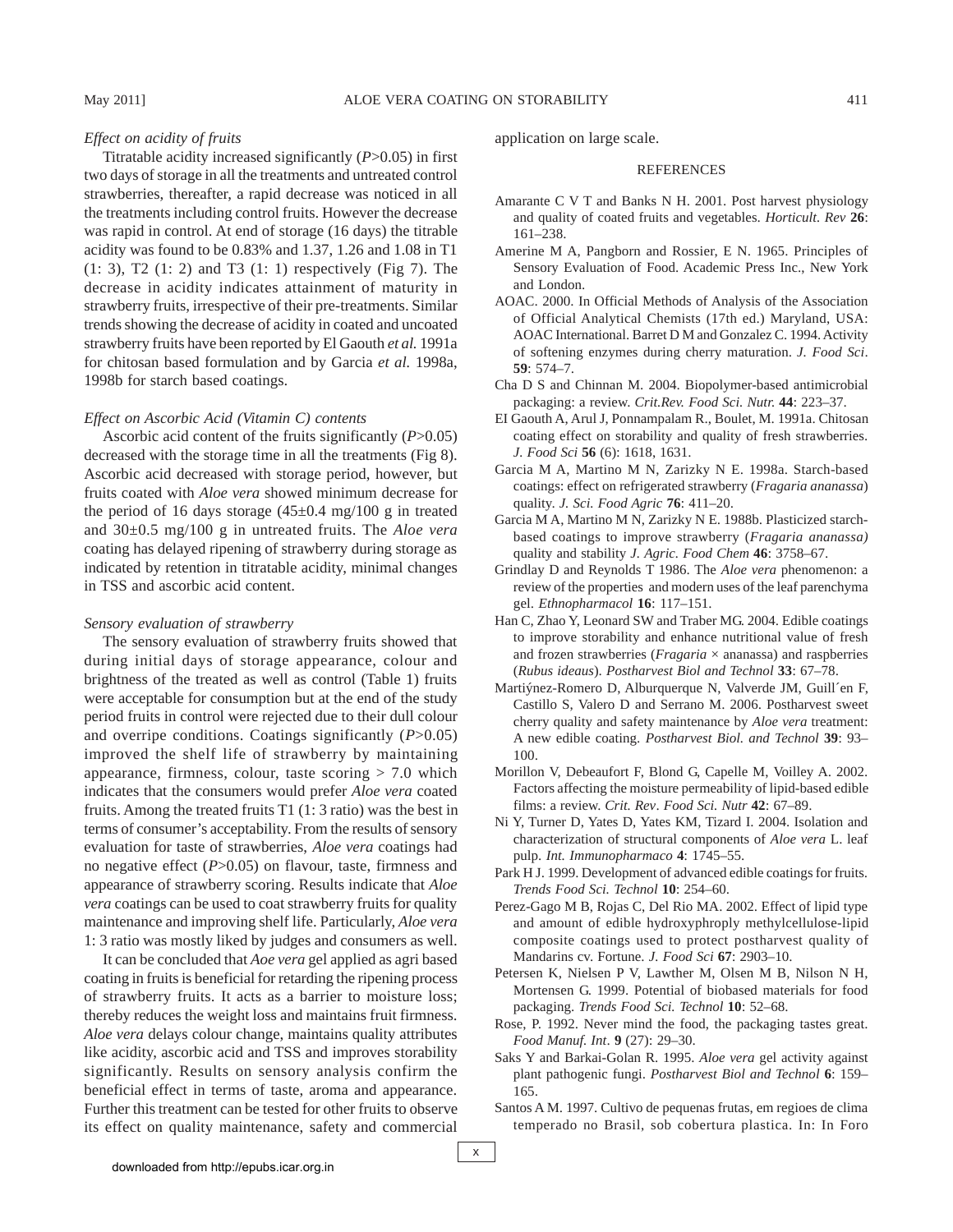## *Effect on acidity of fruits*

Titratable acidity increased significantly (*P*>0.05) in first two days of storage in all the treatments and untreated control strawberries, thereafter, a rapid decrease was noticed in all the treatments including control fruits. However the decrease was rapid in control. At end of storage (16 days) the titrable acidity was found to be 0.83% and 1.37, 1.26 and 1.08 in T1 (1: 3), T2 (1: 2) and T3 (1: 1) respectively (Fig 7). The decrease in acidity indicates attainment of maturity in strawberry fruits, irrespective of their pre-treatments. Similar trends showing the decrease of acidity in coated and uncoated strawberry fruits have been reported by El Gaouth *et al.* 1991a for chitosan based formulation and by Garcia *et al.* 1998a, 1998b for starch based coatings.

#### *Effect on Ascorbic Acid (Vitamin C) contents*

Ascorbic acid content of the fruits significantly (*P*>0.05) decreased with the storage time in all the treatments (Fig 8). Ascorbic acid decreased with storage period, however, but fruits coated with *Aloe vera* showed minimum decrease for the period of 16 days storage  $(45\pm0.4 \text{ mg}/100 \text{ g}$  in treated and 30±0.5 mg/100 g in untreated fruits. The *Aloe vera* coating has delayed ripening of strawberry during storage as indicated by retention in titratable acidity, minimal changes in TSS and ascorbic acid content.

#### *Sensory evaluation of strawberry*

The sensory evaluation of strawberry fruits showed that during initial days of storage appearance, colour and brightness of the treated as well as control (Table 1) fruits were acceptable for consumption but at the end of the study period fruits in control were rejected due to their dull colour and overripe conditions. Coatings significantly (*P*>0.05) improved the shelf life of strawberry by maintaining appearance, firmness, colour, taste scoring  $> 7.0$  which indicates that the consumers would prefer *Aloe vera* coated fruits. Among the treated fruits T1 (1: 3 ratio) was the best in terms of consumer's acceptability. From the results of sensory evaluation for taste of strawberries, *Aloe vera* coatings had no negative effect (*P*>0.05) on flavour, taste, firmness and appearance of strawberry scoring. Results indicate that *Aloe vera* coatings can be used to coat strawberry fruits for quality maintenance and improving shelf life. Particularly, *Aloe vera* 1: 3 ratio was mostly liked by judges and consumers as well.

It can be concluded that *Aoe vera* gel applied as agri based coating in fruits is beneficial for retarding the ripening process of strawberry fruits. It acts as a barrier to moisture loss; thereby reduces the weight loss and maintains fruit firmness. *Aloe vera* delays colour change, maintains quality attributes like acidity, ascorbic acid and TSS and improves storability significantly. Results on sensory analysis confirm the beneficial effect in terms of taste, aroma and appearance. Further this treatment can be tested for other fruits to observe its effect on quality maintenance, safety and commercial

application on large scale.

### REFERENCES

- Amarante C V T and Banks N H. 2001. Post harvest physiology and quality of coated fruits and vegetables. *Horticult. Rev* **26**: 161–238.
- Amerine M A, Pangborn and Rossier, E N. 1965. Principles of Sensory Evaluation of Food. Academic Press Inc., New York and London.
- AOAC. 2000. In Official Methods of Analysis of the Association of Official Analytical Chemists (17th ed.) Maryland, USA: AOAC International. Barret D M and Gonzalez C. 1994. Activity of softening enzymes during cherry maturation. *J. Food Sci*. **59**: 574–7.
- Cha D S and Chinnan M. 2004. Biopolymer-based antimicrobial packaging: a review. *Crit.Rev. Food Sci. Nutr.* **44**: 223–37.
- EI Gaouth A, Arul J, Ponnampalam R., Boulet, M. 1991a. Chitosan coating effect on storability and quality of fresh strawberries. *J. Food Sci* **56** (6): 1618, 1631.
- Garcia M A, Martino M N, Zarizky N E. 1998a. Starch-based coatings: effect on refrigerated strawberry (*Fragaria ananassa*) quality. *J. Sci. Food Agric* **76**: 411–20.
- Garcia M A, Martino M N, Zarizky N E. 1988b. Plasticized starchbased coatings to improve strawberry (*Fragaria ananassa)* quality and stability *J. Agric. Food Chem* **46**: 3758–67.
- Grindlay D and Reynolds T 1986. The *Aloe vera* phenomenon: a review of the properties and modern uses of the leaf parenchyma gel. *Ethnopharmacol* **16**: 117–151.
- Han C, Zhao Y, Leonard SW and Traber MG. 2004. Edible coatings to improve storability and enhance nutritional value of fresh and frozen strawberries (*Fragaria* × ananassa) and raspberries (*Rubus ideaus*). *Postharvest Biol and Technol* **33**: 67–78.
- Martiýnez-Romero D, Alburquerque N, Valverde JM, Guill´en F, Castillo S, Valero D and Serrano M. 2006. Postharvest sweet cherry quality and safety maintenance by *Aloe vera* treatment: A new edible coating. *Postharvest Biol. and Technol* **39**: 93– 100.
- Morillon V, Debeaufort F, Blond G, Capelle M, Voilley A. 2002. Factors affecting the moisture permeability of lipid-based edible films: a review. *Crit. Rev*. *Food Sci. Nutr* **42**: 67–89.
- Ni Y, Turner D, Yates D, Yates KM, Tizard I. 2004. Isolation and characterization of structural components of *Aloe vera* L. leaf pulp. *Int. Immunopharmaco* **4**: 1745–55.
- Park H J. 1999. Development of advanced edible coatings for fruits. *Trends Food Sci. Technol* **10**: 254–60.
- Perez-Gago M B, Rojas C, Del Rio MA. 2002. Effect of lipid type and amount of edible hydroxyphroply methylcellulose-lipid composite coatings used to protect postharvest quality of Mandarins cv. Fortune. *J. Food Sci* **67**: 2903–10.
- Petersen K, Nielsen P V, Lawther M, Olsen M B, Nilson N H, Mortensen G. 1999. Potential of biobased materials for food packaging. *Trends Food Sci. Technol* **10**: 52–68.
- Rose, P. 1992. Never mind the food, the packaging tastes great. *Food Manuf. Int*. **9** (27): 29–30.
- Saks Y and Barkai-Golan R. 1995. *Aloe vera* gel activity against plant pathogenic fungi. *Postharvest Biol and Technol* **6**: 159– 165.
- Santos A M. 1997. Cultivo de pequenas frutas, em regioes de clima temperado no Brasil, sob cobertura plastica. In: In Foro

x